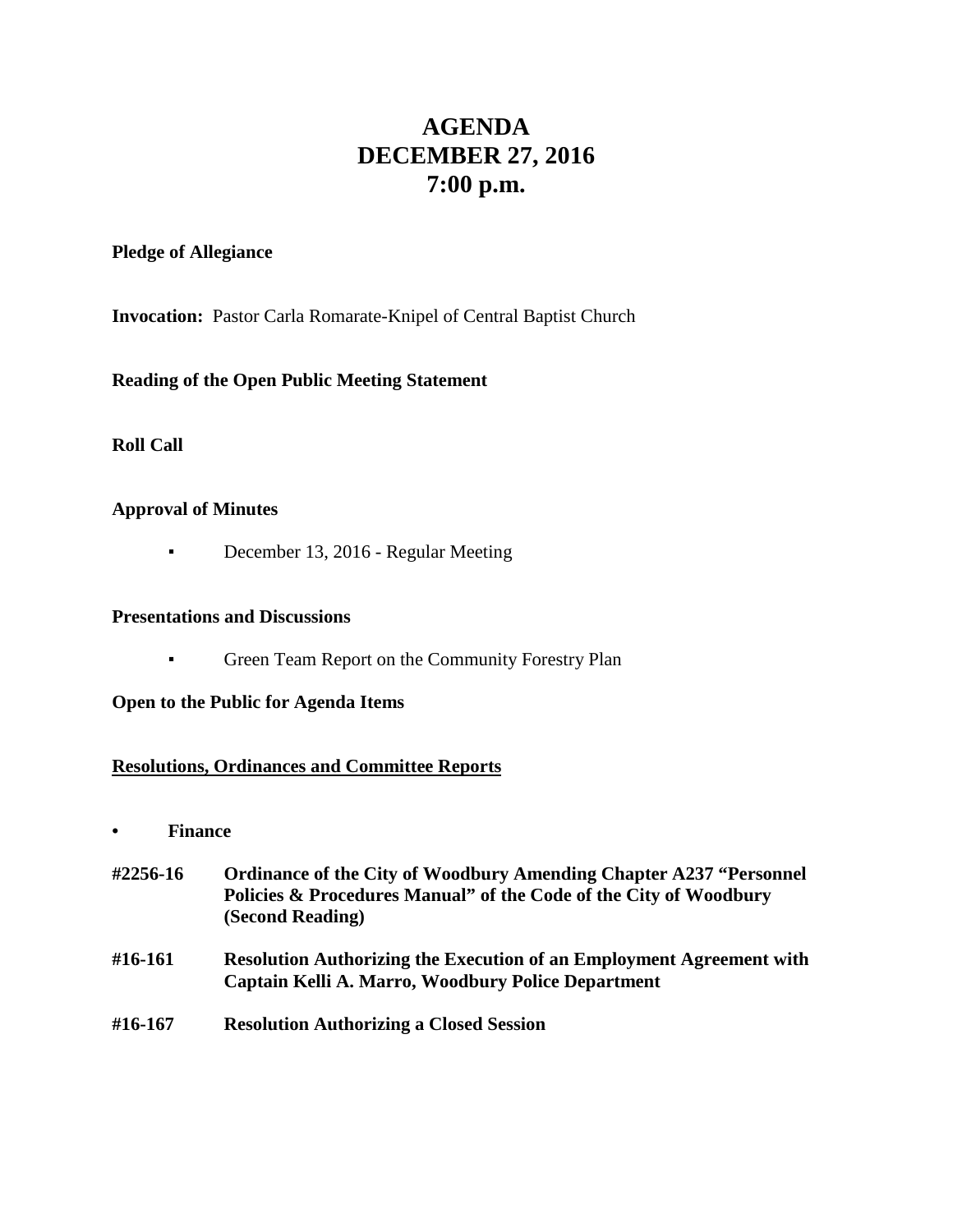# **AGENDA DECEMBER 27, 2016 7:00 p.m.**

#### **Pledge of Allegiance**

**Invocation:** Pastor Carla Romarate-Knipel of Central Baptist Church

**Reading of the Open Public Meeting Statement**

**Roll Call**

#### **Approval of Minutes**

**•** December 13, 2016 - Regular Meeting

#### **Presentations and Discussions**

**• Green Team Report on the Community Forestry Plan** 

#### **Open to the Public for Agenda Items**

#### **Resolutions, Ordinances and Committee Reports**

- **• Finance**
- **#2256-16 Ordinance of the City of Woodbury Amending Chapter A237 "Personnel Policies & Procedures Manual" of the Code of the City of Woodbury (Second Reading)**
- **#16-161 Resolution Authorizing the Execution of an Employment Agreement with Captain Kelli A. Marro, Woodbury Police Department**
- **#16-167 Resolution Authorizing a Closed Session**